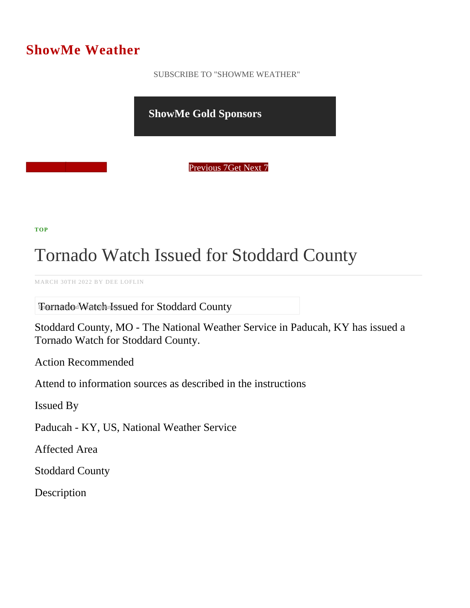## ShowMe Weather

 [SUBSCRIBE TO "SHOWME WEATHER"](/blog_rss.php)

ShowMe Gold Sponsors

Previous Get Next 7

[TOP](/var/www/showmetimes.com/root/javascript:blogScrollToTop()

## Tornado Watch Issued for Stoddard County

MARCH 30TH 2022 BY DEE LOFLIN

The India do Watch Issued for Stoddard County

Stoddard County, MO - The National Weather Service in Paducah, KY has issued a Tornado Watch for Stoddard County.

Action Recommended

Attend to information sources as described in the instructions

Issued By

Paducah - KY, US, National Weather Service

Affected Area

Stoddard County

**Description**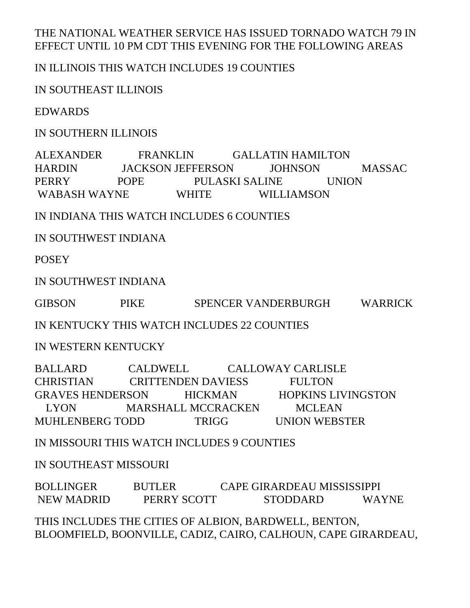## THE NATIONAL WEATHER SERVICE HAS ISSUED TORNADO WATCH 79 IN EFFECT UNTIL 10 PM CDT THIS EVENING FOR THE FOLLOWING AREAS

## IN ILLINOIS THIS WATCH INCLUDES 19 COUNTIES

IN SOUTHEAST ILLINOIS

EDWARDS

IN SOUTHERN ILLINOIS

ALEXANDER FRANKLIN GALLATIN HAMILTON HARDIN JACKSON JEFFERSON JOHNSON MASSAC PERRY POPE PULASKI SALINE UNION WABASH WAYNE WHITE WILLIAMSON

IN INDIANA THIS WATCH INCLUDES 6 COUNTIES

IN SOUTHWEST INDIANA

**POSEY** 

IN SOUTHWEST INDIANA

GIBSON PIKE SPENCER VANDERBURGH WARRICK

IN KENTUCKY THIS WATCH INCLUDES 22 COUNTIES

IN WESTERN KENTUCKY

BALLARD CALDWELL CALLOWAY CARLISLE CHRISTIAN CRITTENDEN DAVIESS FULTON GRAVES HENDERSON HICKMAN HOPKINS LIVINGSTON LYON MARSHALL MCCRACKEN MCLEAN MUHLENBERG TODD TRIGG UNION WEBSTER

IN MISSOURI THIS WATCH INCLUDES 9 COUNTIES

IN SOUTHEAST MISSOURI

BOLLINGER BUTLER CAPE GIRARDEAU MISSISSIPPI NEW MADRID PERRY SCOTT STODDARD WAYNE

THIS INCLUDES THE CITIES OF ALBION, BARDWELL, BENTON, BLOOMFIELD, BOONVILLE, CADIZ, CAIRO, CALHOUN, CAPE GIRARDEAU,